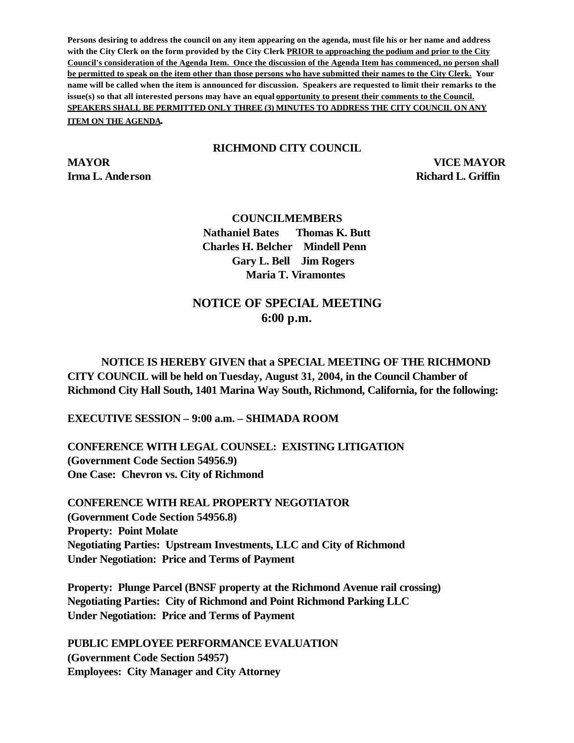**Persons desiring to address the council on any item appearing on the agenda, must file his or her name and address with the City Clerk on the form provided by the City Clerk PRIOR to approaching the podium and prior to the City Council's consideration of the Agenda Item. Once the discussion of the Agenda Item has commenced, no person shall be permitted to speak on the item other than those persons who have submitted their names to the City Clerk. Your name will be called when the item is announced for discussion. Speakers are requested to limit their remarks to the issue(s) so that all interested persons may have an equal opportunity to present their comments to the Council. SPEAKERS SHALL BE PERMITTED ONLY THREE (3) MINUTES TO ADDRESS THE CITY COUNCIL ON ANY ITEM ON THE AGENDA.**

#### **RICHMOND CITY COUNCIL**

**MAYOR VICE MAYOR Irma L. Anderson Richard L. Griffin** 

#### **COUNCILMEMBERS**

**Nathaniel Bates Thomas K. Butt Charles H. Belcher Mindell Penn Gary L. Bell Jim Rogers Maria T. Viramontes**

# **NOTICE OF SPECIAL MEETING 6:00 p.m.**

## **NOTICE IS HEREBY GIVEN that a SPECIAL MEETING OF THE RICHMOND CITY COUNCIL will be held on Tuesday, August 31, 2004, in the Council Chamber of Richmond City Hall South, 1401 Marina Way South, Richmond, California, for the following:**

**EXECUTIVE SESSION – 9:00 a.m. – SHIMADA ROOM**

**CONFERENCE WITH LEGAL COUNSEL: EXISTING LITIGATION (Government Code Section 54956.9) One Case: Chevron vs. City of Richmond**

**CONFERENCE WITH REAL PROPERTY NEGOTIATOR (Government Code Section 54956.8) Property: Point Molate Negotiating Parties: Upstream Investments, LLC and City of Richmond Under Negotiation: Price and Terms of Payment**

**Property: Plunge Parcel (BNSF property at the Richmond Avenue rail crossing) Negotiating Parties: City of Richmond and Point Richmond Parking LLC Under Negotiation: Price and Terms of Payment**

**PUBLIC EMPLOYEE PERFORMANCE EVALUATION (Government Code Section 54957) Employees: City Manager and City Attorney**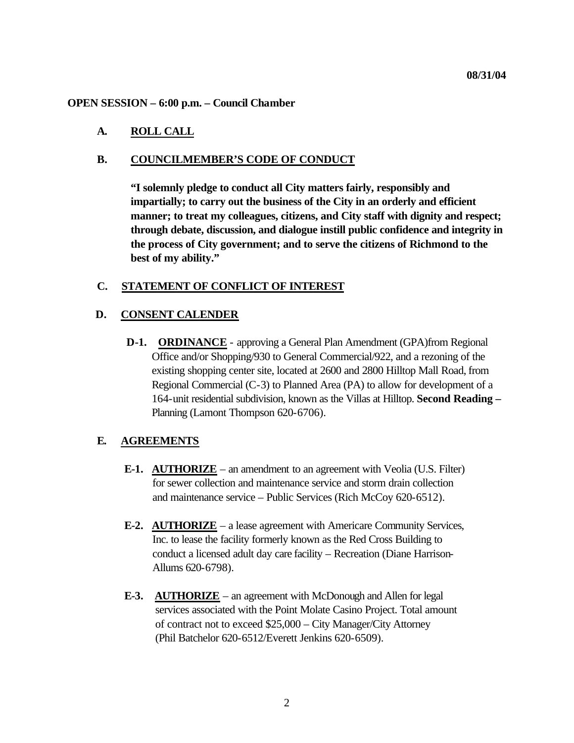#### **OPEN SESSION – 6:00 p.m. – Council Chamber**

#### **A. ROLL CALL**

### **B. COUNCILMEMBER'S CODE OF CONDUCT**

**"I solemnly pledge to conduct all City matters fairly, responsibly and impartially; to carry out the business of the City in an orderly and efficient manner; to treat my colleagues, citizens, and City staff with dignity and respect; through debate, discussion, and dialogue instill public confidence and integrity in the process of City government; and to serve the citizens of Richmond to the best of my ability."**

### **C. STATEMENT OF CONFLICT OF INTEREST**

#### **D. CONSENT CALENDER**

**D-1. ORDINANCE** - approving a General Plan Amendment (GPA)from Regional Office and/or Shopping/930 to General Commercial/922, and a rezoning of the existing shopping center site, located at 2600 and 2800 Hilltop Mall Road, from Regional Commercial (C-3) to Planned Area (PA) to allow for development of a 164-unit residential subdivision, known as the Villas at Hilltop. **Second Reading –** Planning (Lamont Thompson 620-6706).

## **E. AGREEMENTS**

- **E-1. AUTHORIZE** an amendment to an agreement with Veolia (U.S. Filter) for sewer collection and maintenance service and storm drain collection and maintenance service – Public Services (Rich McCoy 620-6512).
- **E-2. AUTHORIZE** a lease agreement with Americare Community Services, Inc. to lease the facility formerly known as the Red Cross Building to conduct a licensed adult day care facility – Recreation (Diane Harrison- Allums 620-6798).
- **E-3. AUTHORIZE** an agreement with McDonough and Allen for legal services associated with the Point Molate Casino Project. Total amount of contract not to exceed \$25,000 – City Manager/City Attorney (Phil Batchelor 620-6512/Everett Jenkins 620-6509).